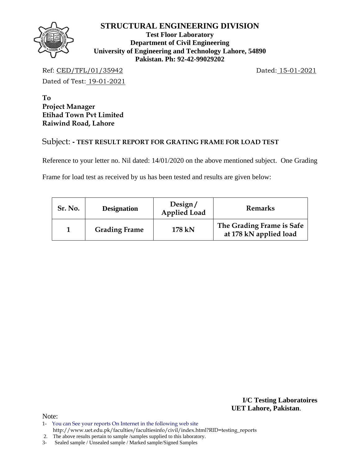

**Test Floor Laboratory Department of Civil Engineering University of Engineering and Technology Lahore, 54890 Pakistan. Ph: 92-42-99029202** 

Ref: CED/TFL/01/35942 Dated: 15-01-2021

Dated of Test: 19-01-2021

**To Project Manager Etihad Town Pvt Limited Raiwind Road, Lahore** 

# Subject: **- TEST RESULT REPORT FOR GRATING FRAME FOR LOAD TEST**

Reference to your letter no. Nil dated: 14/01/2020 on the above mentioned subject. One Grading

Frame for load test as received by us has been tested and results are given below:

| Sr. No. | <b>Designation</b>   | Design/<br><b>Applied Load</b> | Remarks                                             |  |  |  |  |
|---------|----------------------|--------------------------------|-----------------------------------------------------|--|--|--|--|
|         | <b>Grading Frame</b> | 178 kN                         | The Grading Frame is Safe<br>at 178 kN applied load |  |  |  |  |

**I/C Testing Laboratoires UET Lahore, Pakistan**.

 <sup>2.</sup> The above results pertain to sample /samples supplied to this laboratory.

<sup>3-</sup> Sealed sample / Unsealed sample / Marked sample/Signed Samples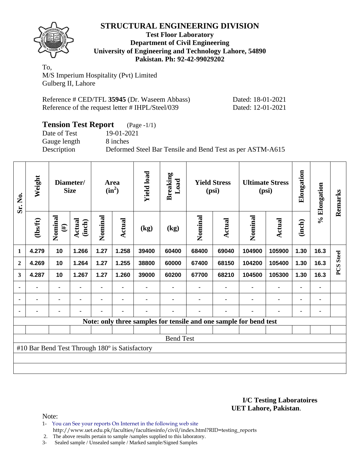

**Test Floor Laboratory Department of Civil Engineering University of Engineering and Technology Lahore, 54890 Pakistan. Ph: 92-42-99029202** 

To, M/S Imperium Hospitality (Pvt) Limited Gulberg II, Lahore

| Reference # CED/TFL 35945 (Dr. Waseem Abbass)    | Dated: 18-01-2021 |
|--------------------------------------------------|-------------------|
| Reference of the request letter # IHPL/Steel/039 | Dated: 12-01-2021 |

## **Tension Test Report** (Page -1/1)

Date of Test 19-01-2021 Gauge length 8 inches

Description Deformed Steel Bar Tensile and Bend Test as per ASTM-A615

| Sr. No.      | Weight                                         |                   | Diameter/<br><b>Size</b> |         |        |       | <b>Yield load</b><br>Area<br>$(in^2)$ |                                                                   | <b>Breaking</b><br>Load<br><b>Yield Stress</b><br>(psi) |         |               | <b>Ultimate Stress</b><br>(psi) |      | Elongation       | % Elongation | Remarks |
|--------------|------------------------------------------------|-------------------|--------------------------|---------|--------|-------|---------------------------------------|-------------------------------------------------------------------|---------------------------------------------------------|---------|---------------|---------------------------------|------|------------------|--------------|---------|
|              | $\frac{2}{10}$                                 | Nominal<br>$(\#)$ | Actual<br>(inch)         | Nominal | Actual | (kg)  | (kg)                                  | Nominal                                                           | Actual                                                  | Nominal | <b>Actual</b> | (inch)                          |      |                  |              |         |
| $\mathbf{1}$ | 4.279                                          | 10                | 1.266                    | 1.27    | 1.258  | 39400 | 60400                                 | 68400                                                             | 69040                                                   | 104900  | 105900        | 1.30                            | 16.3 |                  |              |         |
| $\mathbf{2}$ | 4.269                                          | 10                | 1.264                    | 1.27    | 1.255  | 38800 | 60000                                 | 67400                                                             | 68150                                                   | 104200  | 105400        | 1.30                            | 16.3 | <b>PCS</b> Steel |              |         |
| $\mathbf{3}$ | 4.287                                          | 10                | 1.267                    | 1.27    | 1.260  | 39000 | 60200                                 | 67700                                                             | 68210                                                   | 104500  | 105300        | 1.30                            | 16.3 |                  |              |         |
| ٠            |                                                | ۰                 |                          |         |        |       |                                       |                                                                   |                                                         |         |               |                                 | ۰    |                  |              |         |
|              |                                                |                   |                          |         | ۰      |       |                                       |                                                                   |                                                         |         |               | $\blacksquare$                  | ۰    |                  |              |         |
|              |                                                | ۰                 |                          |         | ٠      |       |                                       |                                                                   |                                                         |         |               |                                 | ۰    |                  |              |         |
|              |                                                |                   |                          |         |        |       |                                       | Note: only three samples for tensile and one sample for bend test |                                                         |         |               |                                 |      |                  |              |         |
|              |                                                |                   |                          |         |        |       |                                       |                                                                   |                                                         |         |               |                                 |      |                  |              |         |
|              |                                                |                   |                          |         |        |       | <b>Bend Test</b>                      |                                                                   |                                                         |         |               |                                 |      |                  |              |         |
|              | #10 Bar Bend Test Through 180° is Satisfactory |                   |                          |         |        |       |                                       |                                                                   |                                                         |         |               |                                 |      |                  |              |         |
|              |                                                |                   |                          |         |        |       |                                       |                                                                   |                                                         |         |               |                                 |      |                  |              |         |
|              |                                                |                   |                          |         |        |       |                                       |                                                                   |                                                         |         |               |                                 |      |                  |              |         |

#### **I/C Testing Laboratoires UET Lahore, Pakistan**.

- 1- You can See your reports On Internet in the following web site http://www.uet.edu.pk/faculties/facultiesinfo/civil/index.html?RID=testing\_reports
- 2. The above results pertain to sample / samples supplied to this laboratory.<br>3- Sealed sample / Unsealed sample / Marked sample/Signed Samples
- Sealed sample / Unsealed sample / Marked sample/Signed Samples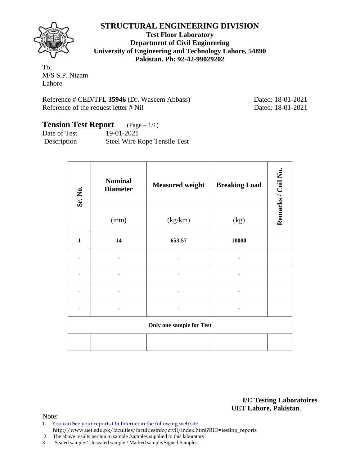**Test Floor Laboratory Department of Civil Engineering University of Engineering and Technology Lahore, 54890 Pakistan. Ph: 92-42-99029202** 

To, M/S S.P. Nizam Lahore

Reference # CED/TFL 35946 (Dr. Waseem Abbass) Dated: 18-01-2021 Reference of the request letter # Nil Dated: 18-01-2021

# **Tension Test Report** (Page – 1/1)

Date of Test 19-01-2021 Description Steel Wire Rope Tensile Test

| Sr. No.      | <b>Nominal</b><br><b>Diameter</b> | <b>Measured weight</b>          | <b>Breaking Load</b> | Remarks / Coil No. |
|--------------|-----------------------------------|---------------------------------|----------------------|--------------------|
|              | (mm)                              | (kg/km)                         | (kg)                 |                    |
| $\mathbf{1}$ | 14                                | 653.57                          | 10000                |                    |
|              |                                   |                                 |                      |                    |
|              |                                   |                                 |                      |                    |
|              |                                   |                                 |                      |                    |
|              |                                   |                                 |                      |                    |
|              |                                   | <b>Only one sample for Test</b> |                      |                    |
|              |                                   |                                 |                      |                    |

**I/C Testing Laboratoires UET Lahore, Pakistan**.

- 1- You can See your reports On Internet in the following web site http://www.uet.edu.pk/faculties/facultiesinfo/civil/index.html?RID=testing\_reports
- 2. The above results pertain to sample /samples supplied to this laboratory.
- 3- Sealed sample / Unsealed sample / Marked sample/Signed Samples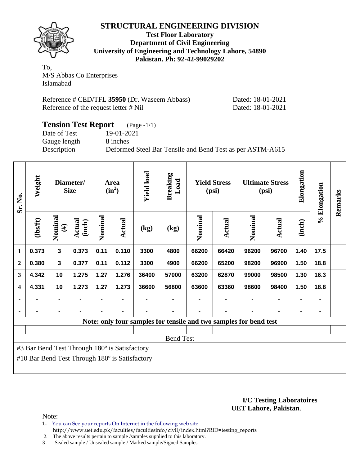

**Test Floor Laboratory Department of Civil Engineering University of Engineering and Technology Lahore, 54890 Pakistan. Ph: 92-42-99029202** 

To, M/S Abbas Co Enterprises Islamabad

| Reference # CED/TFL 35950 (Dr. Waseem Abbass) |
|-----------------------------------------------|
| Reference of the request letter # Nil         |

Dated: 18-01-2021 Dated: 18-01-2021

#### **Tension Test Report** (Page -1/1) Date of Test 19-01-2021 Gauge length 8 inches Description Deformed Steel Bar Tensile and Bend Test as per ASTM-A615

| Sr. No.                 | Weight                                         | Diameter/<br><b>Size</b> |                         |         |                |       |                                                                   |         |        |         |               |        |      |  |  | Area<br>$(in^2)$ |  | <b>Yield load</b> | <b>Breaking</b><br>Load | <b>Yield Stress</b><br>(psi) |  | <b>Ultimate Stress</b><br>(psi) |  | Elongation | % Elongation | Remarks |
|-------------------------|------------------------------------------------|--------------------------|-------------------------|---------|----------------|-------|-------------------------------------------------------------------|---------|--------|---------|---------------|--------|------|--|--|------------------|--|-------------------|-------------------------|------------------------------|--|---------------------------------|--|------------|--------------|---------|
|                         | (1bs/ft)                                       | Nominal<br>$(\#)$        | <b>Actual</b><br>(inch) | Nominal | Actual         | (kg)  | (kg)                                                              | Nominal | Actual | Nominal | <b>Actual</b> | (inch) |      |  |  |                  |  |                   |                         |                              |  |                                 |  |            |              |         |
| 1                       | 0.373                                          | $\overline{\mathbf{3}}$  | 0.373                   | 0.11    | 0.110          | 3300  | 4800                                                              | 66200   | 66420  | 96200   | 96700         | 1.40   | 17.5 |  |  |                  |  |                   |                         |                              |  |                                 |  |            |              |         |
| $\overline{2}$          | 0.380                                          | $\overline{\mathbf{3}}$  | 0.377                   | 0.11    | 0.112          | 3300  | 4900                                                              | 66200   | 65200  | 98200   | 96900         | 1.50   | 18.8 |  |  |                  |  |                   |                         |                              |  |                                 |  |            |              |         |
| 3                       | 4.342                                          | 10                       | 1.275                   | 1.27    | 1.276          | 36400 | 57000                                                             | 63200   | 62870  | 99000   | 98500         | 1.30   | 16.3 |  |  |                  |  |                   |                         |                              |  |                                 |  |            |              |         |
| $\overline{\mathbf{4}}$ | 4.331                                          | 10                       | 1.273                   | 1.27    | 1.273          | 36600 | 56800                                                             | 63600   | 63360  | 98600   | 98400         | 1.50   | 18.8 |  |  |                  |  |                   |                         |                              |  |                                 |  |            |              |         |
|                         | $\blacksquare$                                 |                          |                         |         | $\blacksquare$ |       | ۰                                                                 |         |        | ۰       |               |        | ٠    |  |  |                  |  |                   |                         |                              |  |                                 |  |            |              |         |
|                         |                                                |                          |                         |         |                |       |                                                                   |         |        |         |               |        |      |  |  |                  |  |                   |                         |                              |  |                                 |  |            |              |         |
|                         |                                                |                          |                         |         |                |       | Note: only four samples for tensile and two samples for bend test |         |        |         |               |        |      |  |  |                  |  |                   |                         |                              |  |                                 |  |            |              |         |
|                         |                                                |                          |                         |         |                |       |                                                                   |         |        |         |               |        |      |  |  |                  |  |                   |                         |                              |  |                                 |  |            |              |         |
|                         |                                                |                          |                         |         |                |       | <b>Bend Test</b>                                                  |         |        |         |               |        |      |  |  |                  |  |                   |                         |                              |  |                                 |  |            |              |         |
|                         | #3 Bar Bend Test Through 180° is Satisfactory  |                          |                         |         |                |       |                                                                   |         |        |         |               |        |      |  |  |                  |  |                   |                         |                              |  |                                 |  |            |              |         |
|                         | #10 Bar Bend Test Through 180° is Satisfactory |                          |                         |         |                |       |                                                                   |         |        |         |               |        |      |  |  |                  |  |                   |                         |                              |  |                                 |  |            |              |         |
|                         |                                                |                          |                         |         |                |       |                                                                   |         |        |         |               |        |      |  |  |                  |  |                   |                         |                              |  |                                 |  |            |              |         |

#### **I/C Testing Laboratoires UET Lahore, Pakistan**.

- 1- You can See your reports On Internet in the following web site http://www.uet.edu.pk/faculties/facultiesinfo/civil/index.html?RID=testing\_reports
- 2. The above results pertain to sample /samples supplied to this laboratory.
- 3- Sealed sample / Unsealed sample / Marked sample/Signed Samples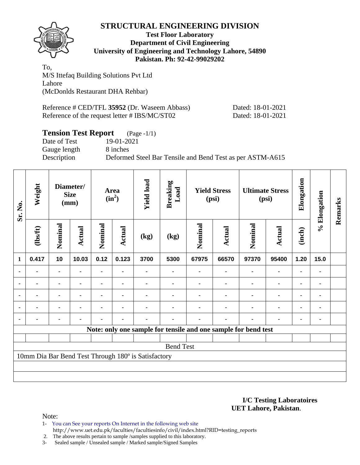

#### **Test Floor Laboratory Department of Civil Engineering University of Engineering and Technology Lahore, 54890 Pakistan. Ph: 92-42-99029202**

To, M/S Ittefaq Building Solutions Pvt Ltd Lahore (McDonlds Restaurant DHA Rehbar)

Reference # CED/TFL **35952** (Dr. Waseem Abbass) Dated: 18-01-2021 Reference of the request letter # IBS/MC/ST02 Dated: 18-01-2021

# **Tension Test Report** (Page -1/1)

Date of Test 19-01-2021 Gauge length 8 inches

Description Deformed Steel Bar Tensile and Bend Test as per ASTM-A615

| Sr. No.        | Weight         | Diameter/<br><b>Size</b><br>(mm) |                | Area<br>$(in^2)$ |                | <b>Yield load</b>                                   | <b>Breaking</b><br>Load<br><b>Yield Stress</b><br>(psi) |         | <b>Ultimate Stress</b><br>(psi) |                                                                | Elongation     | % Elongation   | Remarks        |  |
|----------------|----------------|----------------------------------|----------------|------------------|----------------|-----------------------------------------------------|---------------------------------------------------------|---------|---------------------------------|----------------------------------------------------------------|----------------|----------------|----------------|--|
|                | $\frac{2}{10}$ | Nominal                          | <b>Actual</b>  | Nominal          | Actual         | (kg)                                                | (kg)                                                    | Nominal | Actual                          | Nominal                                                        | <b>Actual</b>  | (inch)         |                |  |
| 1              | 0.417          | 10                               | 10.03          | 0.12             | 0.123          | 3700                                                | 5300                                                    | 67975   | 66570                           | 97370                                                          | 95400          | 1.20           | 15.0           |  |
|                |                | $\blacksquare$                   | $\blacksquare$ | $\blacksquare$   | $\blacksquare$ |                                                     | ۰                                                       |         | $\blacksquare$                  | $\blacksquare$                                                 | ۰              | ۰              |                |  |
| ٠              |                | ۰                                |                |                  |                |                                                     |                                                         |         |                                 | ٠                                                              | ٠              | ٠              |                |  |
| ٠              | ۰              | $\blacksquare$                   | ۰              |                  | ٠              |                                                     |                                                         |         |                                 | ٠                                                              | ۰              | ۰              | $\blacksquare$ |  |
| $\blacksquare$ | $\blacksquare$ | $\blacksquare$                   | $\blacksquare$ |                  |                |                                                     |                                                         |         |                                 | ٠                                                              | $\blacksquare$ | $\blacksquare$ |                |  |
|                |                | $\blacksquare$                   | ۰              |                  | $\blacksquare$ |                                                     |                                                         |         | $\blacksquare$                  | ٠                                                              | ۰              | ۰              | ٠              |  |
|                |                |                                  |                |                  |                |                                                     |                                                         |         |                                 | Note: only one sample for tensile and one sample for bend test |                |                |                |  |
|                |                |                                  |                |                  |                |                                                     |                                                         |         |                                 |                                                                |                |                |                |  |
|                |                |                                  |                |                  |                |                                                     | <b>Bend Test</b>                                        |         |                                 |                                                                |                |                |                |  |
|                |                |                                  |                |                  |                | 10mm Dia Bar Bend Test Through 180° is Satisfactory |                                                         |         |                                 |                                                                |                |                |                |  |
|                |                |                                  |                |                  |                |                                                     |                                                         |         |                                 |                                                                |                |                |                |  |
|                |                |                                  |                |                  |                |                                                     |                                                         |         |                                 |                                                                |                |                |                |  |

#### **I/C Testing Laboratoires UET Lahore, Pakistan**.

- 1- You can See your reports On Internet in the following web site http://www.uet.edu.pk/faculties/facultiesinfo/civil/index.html?RID=testing\_reports
- 2. The above results pertain to sample /samples supplied to this laboratory.
- 3- Sealed sample / Unsealed sample / Marked sample/Signed Samples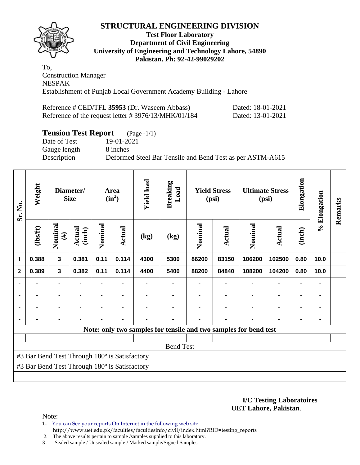

#### **Test Floor Laboratory Department of Civil Engineering University of Engineering and Technology Lahore, 54890 Pakistan. Ph: 92-42-99029202**

To, Construction Manager NESPAK Establishment of Punjab Local Government Academy Building - Lahore

| Reference # CED/TFL 35953 (Dr. Waseem Abbass)           | Dated: 18-01-2021 |
|---------------------------------------------------------|-------------------|
| Reference of the request letter $\# 3976/13/MHK/01/184$ | Dated: 13-01-2021 |

# **Tension Test Report** (Page -1/1)

Gauge length 8 inches

Date of Test 19-01-2021 Description Deformed Steel Bar Tensile and Bend Test as per ASTM-A615

| Sr. No.        | Weight<br>Diameter/<br><b>Size</b>            |                   |                  |                | Area<br>$(in^2)$ | <b>Yield load</b> |                  | <b>Yield Stress</b><br>(psi) |        | <b>Ultimate Stress</b><br>(psi)                                  |                | Elongation | % Elongation | Remarks |
|----------------|-----------------------------------------------|-------------------|------------------|----------------|------------------|-------------------|------------------|------------------------------|--------|------------------------------------------------------------------|----------------|------------|--------------|---------|
|                | (1bsft)                                       | Nominal<br>$(\#)$ | Actual<br>(inch) | Nominal        | Actual           | (kg)              | (kg)             | Nominal                      | Actual | Nominal                                                          | Actual         | (inch)     |              |         |
| $\mathbf{1}$   | 0.388                                         | $\mathbf{3}$      | 0.381            | 0.11           | 0.114            | 4300              | 5300             | 86200                        | 83150  | 106200                                                           | 102500         | 0.80       | 10.0         |         |
| $\overline{2}$ | 0.389                                         | $\mathbf{3}$      | 0.382            | 0.11           | 0.114            | 4400              | 5400             | 88200                        | 84840  | 108200                                                           | 104200         | 0.80       | 10.0         |         |
| $\blacksquare$ | $\blacksquare$                                | $\blacksquare$    |                  | $\blacksquare$ |                  |                   |                  |                              |        |                                                                  | $\blacksquare$ |            | ٠            |         |
|                | $\blacksquare$                                | $\blacksquare$    |                  |                |                  |                   |                  |                              |        |                                                                  | $\blacksquare$ |            | ۰            |         |
| ٠              |                                               |                   |                  |                |                  |                   |                  |                              |        |                                                                  |                |            | ۰            |         |
| $\blacksquare$ |                                               |                   |                  |                |                  |                   |                  |                              |        |                                                                  |                |            |              |         |
|                |                                               |                   |                  |                |                  |                   |                  |                              |        | Note: only two samples for tensile and two samples for bend test |                |            |              |         |
|                |                                               |                   |                  |                |                  |                   |                  |                              |        |                                                                  |                |            |              |         |
|                |                                               |                   |                  |                |                  |                   | <b>Bend Test</b> |                              |        |                                                                  |                |            |              |         |
|                | #3 Bar Bend Test Through 180° is Satisfactory |                   |                  |                |                  |                   |                  |                              |        |                                                                  |                |            |              |         |
|                | #3 Bar Bend Test Through 180° is Satisfactory |                   |                  |                |                  |                   |                  |                              |        |                                                                  |                |            |              |         |
|                |                                               |                   |                  |                |                  |                   |                  |                              |        |                                                                  |                |            |              |         |

**I/C Testing Laboratoires UET Lahore, Pakistan**.

Note:

- 1- You can See your reports On Internet in the following web site
- http://www.uet.edu.pk/faculties/facultiesinfo/civil/index.html?RID=testing\_reports 2. The above results pertain to sample /samples supplied to this laboratory.

3- Sealed sample / Unsealed sample / Marked sample/Signed Samples